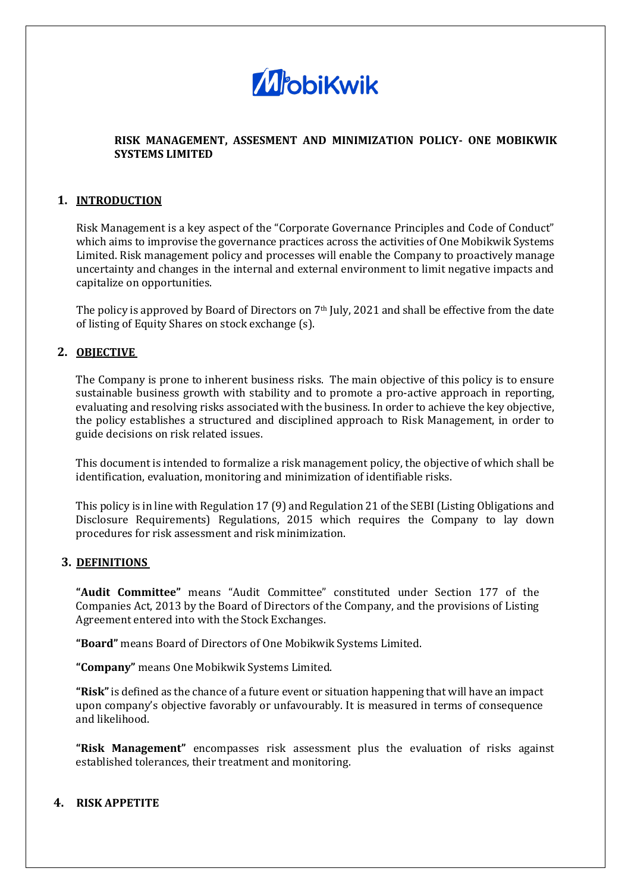

### **RISK MANAGEMENT, ASSESMENT AND MINIMIZATION POLICY- ONE MOBIKWIK SYSTEMS LIMITED**

#### **1. INTRODUCTION**

Risk Management is a key aspect of the "Corporate Governance Principles and Code of Conduct" which aims to improvise the governance practices across the activities of One Mobikwik Systems Limited. Risk management policy and processes will enable the Company to proactively manage uncertainty and changes in the internal and external environment to limit negative impacts and capitalize on opportunities.

The policy is approved by Board of Directors on 7th July, 2021 and shall be effective from the date of listing of Equity Shares on stock exchange (s).

#### **2. OBJECTIVE**

The Company is prone to inherent business risks. The main objective of this policy is to ensure sustainable business growth with stability and to promote a pro-active approach in reporting, evaluating and resolving risks associated with the business. In order to achieve the key objective, the policy establishes a structured and disciplined approach to Risk Management, in order to guide decisions on risk related issues.

This document is intended to formalize a risk management policy, the objective of which shall be identification, evaluation, monitoring and minimization of identifiable risks.

This policy is in line with Regulation 17 (9) and Regulation 21 of the SEBI (Listing Obligations and Disclosure Requirements) Regulations, 2015 which requires the Company to lay down procedures for risk assessment and risk minimization.

#### **3. DEFINITIONS**

**"Audit Committee"** means "Audit Committee" constituted under Section 177 of the Companies Act, 2013 by the Board of Directors of the Company, and the provisions of Listing Agreement entered into with the Stock Exchanges.

**"Board"** means Board of Directors of One Mobikwik Systems Limited.

**"Company"** means One Mobikwik Systems Limited.

**"Risk"** is defined as the chance of a future event or situation happening that will have an impact upon company's objective favorably or unfavourably. It is measured in terms of consequence and likelihood.

**"Risk Management"** encompasses risk assessment plus the evaluation of risks against established tolerances, their treatment and monitoring.

#### **4. RISK APPETITE**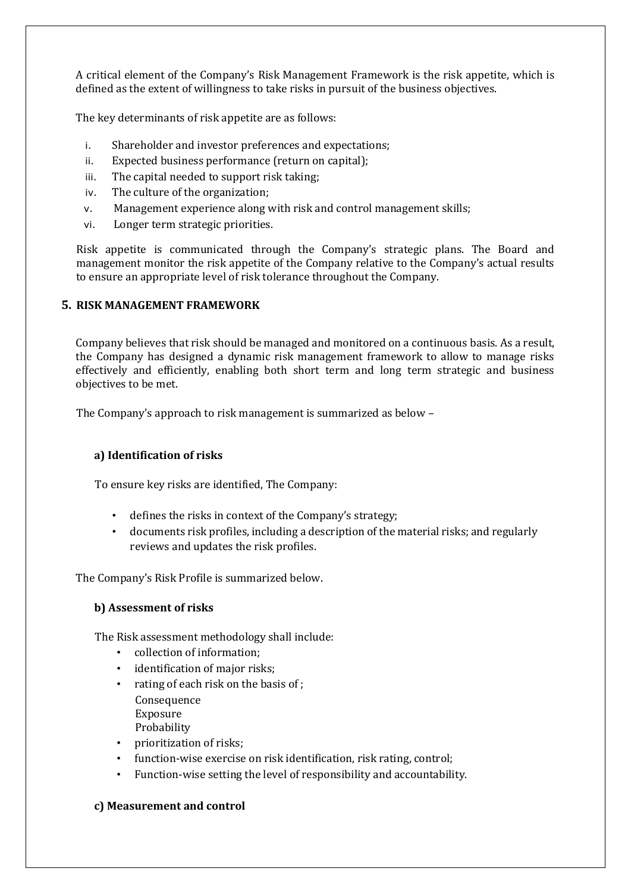A critical element of the Company's Risk Management Framework is the risk appetite, which is defined as the extent of willingness to take risks in pursuit of the business objectives.

The key determinants of risk appetite are as follows:

- i. Shareholder and investor preferences and expectations;
- ii. Expected business performance (return on capital);
- iii. The capital needed to support risk taking;
- iv. The culture of the organization;
- v. Management experience along with risk and control management skills;
- vi. Longer term strategic priorities.

Risk appetite is communicated through the Company's strategic plans. The Board and management monitor the risk appetite of the Company relative to the Company's actual results to ensure an appropriate level of risk tolerance throughout the Company.

#### **5. RISK MANAGEMENT FRAMEWORK**

Company believes that risk should be managed and monitored on a continuous basis. As a result, the Company has designed a dynamic risk management framework to allow to manage risks effectively and efficiently, enabling both short term and long term strategic and business objectives to be met.

The Company's approach to risk management is summarized as below –

#### **a) Identification of risks**

To ensure key risks are identified, The Company:

- defines the risks in context of the Company's strategy;
- documents risk profiles, including a description of the material risks; and regularly reviews and updates the risk profiles.

The Company's Risk Profile is summarized below.

### **b) Assessment of risks**

The Risk assessment methodology shall include:

- collection of information;
- identification of major risks:
- rating of each risk on the basis of : Consequence Exposure Probability
- prioritization of risks;
- function-wise exercise on risk identification, risk rating, control;
- Function-wise setting the level of responsibility and accountability.

#### **c) Measurement and control**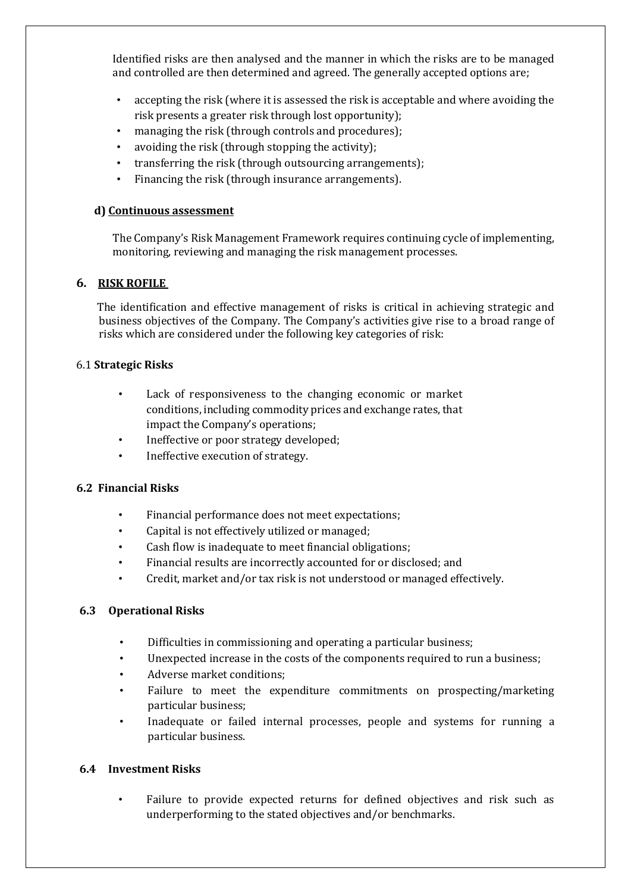Identified risks are then analysed and the manner in which the risks are to be managed and controlled are then determined and agreed. The generally accepted options are;

- accepting the risk (where it is assessed the risk is acceptable and where avoiding the risk presents a greater risk through lost opportunity);
- managing the risk (through controls and procedures);
- avoiding the risk (through stopping the activity);
- transferring the risk (through outsourcing arrangements);
- Financing the risk (through insurance arrangements).

### **d) Continuous assessment**

The Company's Risk Management Framework requires continuing cycle of implementing, monitoring, reviewing and managing the risk management processes.

### **6. RISK ROFILE**

The identification and effective management of risks is critical in achieving strategic and business objectives of the Company. The Company's activities give rise to a broad range of risks which are considered under the following key categories of risk:

#### 6.1 **Strategic Risks**

- Lack of responsiveness to the changing economic or market conditions, including commodity prices and exchange rates, that impact the Company's operations;
- Ineffective or poor strategy developed;
- Ineffective execution of strategy.

### **6.2 Financial Risks**

- Financial performance does not meet expectations;
- Capital is not effectively utilized or managed;
- Cash flow is inadequate to meet financial obligations;
- Financial results are incorrectly accounted for or disclosed; and
- Credit, market and/or tax risk is not understood or managed effectively.

### **6.3 Operational Risks**

- Difficulties in commissioning and operating a particular business;
- Unexpected increase in the costs of the components required to run a business;
- Adverse market conditions;
- Failure to meet the expenditure commitments on prospecting/marketing particular business;
- Inadequate or failed internal processes, people and systems for running a particular business.

### **6.4 Investment Risks**

• Failure to provide expected returns for defined objectives and risk such as underperforming to the stated objectives and/or benchmarks.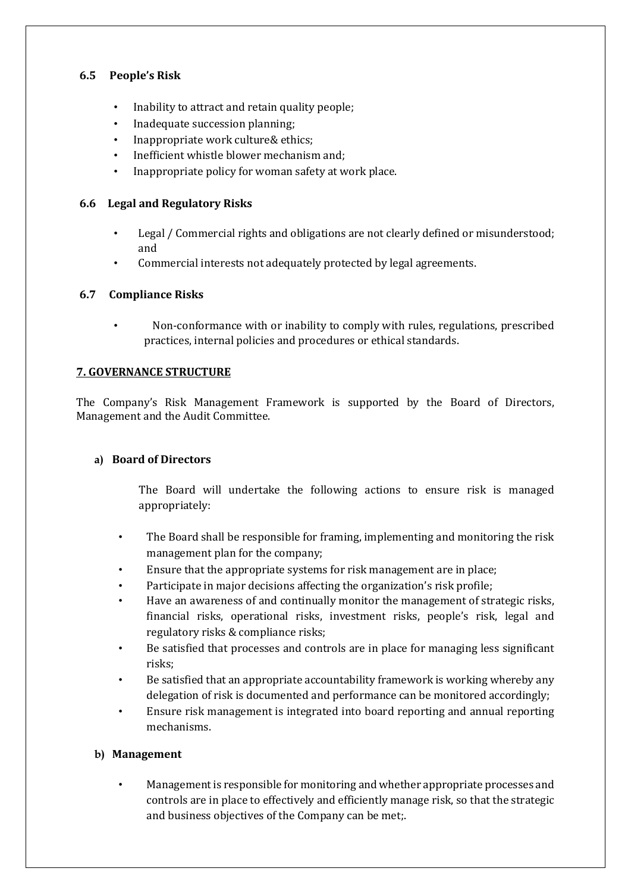## **6.5 People's Risk**

- Inability to attract and retain quality people;
- Inadequate succession planning;
- Inappropriate work culture& ethics;
- Inefficient whistle blower mechanism and;
- Inappropriate policy for woman safety at work place.

### **6.6 Legal and Regulatory Risks**

- Legal / Commercial rights and obligations are not clearly defined or misunderstood; and
- Commercial interests not adequately protected by legal agreements.

## **6.7 Compliance Risks**

• Non-conformance with or inability to comply with rules, regulations, prescribed practices, internal policies and procedures or ethical standards.

### **7. GOVERNANCE STRUCTURE**

The Company's Risk Management Framework is supported by the Board of Directors, Management and the Audit Committee.

### **a) Board of Directors**

The Board will undertake the following actions to ensure risk is managed appropriately:

- The Board shall be responsible for framing, implementing and monitoring the risk management plan for the company;
- Ensure that the appropriate systems for risk management are in place;
- Participate in major decisions affecting the organization's risk profile;
- Have an awareness of and continually monitor the management of strategic risks, financial risks, operational risks, investment risks, people's risk, legal and regulatory risks & compliance risks;
- Be satisfied that processes and controls are in place for managing less significant risks;
- Be satisfied that an appropriate accountability framework is working whereby any delegation of risk is documented and performance can be monitored accordingly;
- Ensure risk management is integrated into board reporting and annual reporting mechanisms.

### **b) Management**

• Management is responsible for monitoring and whether appropriate processes and controls are in place to effectively and efficiently manage risk, so that the strategic and business objectives of the Company can be met;.